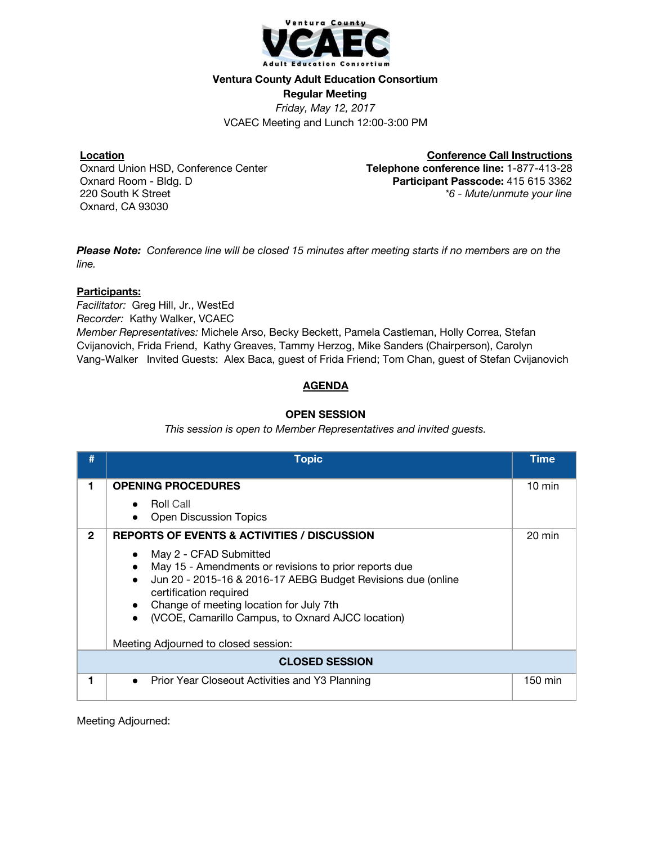

#### **Ventura County Adult Education Consortium**

**Regular Meeting**

*Friday, May 12, 2017* VCAEC Meeting and Lunch 12:00-3:00 PM

### **Location**

Oxnard Union HSD, Conference Center Oxnard Room - Bldg. D 220 South K Street Oxnard, CA 93030

**Conference Call Instructions Telephone conference line:** 1-877-413-28 **Participant Passcode:** 415 615 3362 *\*6 - Mute/unmute your line*

Please Note: Conference line will be closed 15 minutes after meeting starts if no members are on the *line.*

### **Participants:**

*Facilitator:* Greg Hill, Jr., WestEd *Recorder:* Kathy Walker, VCAEC *Member Representatives:* Michele Arso, Becky Beckett, Pamela Castleman, Holly Correa, Stefan Cvijanovich, Frida Friend, Kathy Greaves, Tammy Herzog, Mike Sanders (Chairperson), Carolyn Vang-Walker Invited Guests: Alex Baca, guest of Frida Friend; Tom Chan, guest of Stefan Cvijanovich

# **AGENDA**

# **OPEN SESSION**

*This session is open to Member Representatives and invited guests.*

|                       | <b>Topic</b>                                                                                                                                                                                                                                                                                                                                                                             | Time             |
|-----------------------|------------------------------------------------------------------------------------------------------------------------------------------------------------------------------------------------------------------------------------------------------------------------------------------------------------------------------------------------------------------------------------------|------------------|
| 1                     | <b>OPENING PROCEDURES</b><br><b>Roll Call</b><br><b>Open Discussion Topics</b>                                                                                                                                                                                                                                                                                                           | $10 \text{ min}$ |
| $\mathbf{2}$          | <b>REPORTS OF EVENTS &amp; ACTIVITIES / DISCUSSION</b><br>May 2 - CFAD Submitted<br>May 15 - Amendments or revisions to prior reports due<br>Jun 20 - 2015-16 & 2016-17 AEBG Budget Revisions due (online<br>certification required<br>Change of meeting location for July 7th<br>$\bullet$<br>(VCOE, Camarillo Campus, to Oxnard AJCC location)<br>Meeting Adjourned to closed session: | 20 min           |
| <b>CLOSED SESSION</b> |                                                                                                                                                                                                                                                                                                                                                                                          |                  |
|                       | Prior Year Closeout Activities and Y3 Planning<br>$\bullet$                                                                                                                                                                                                                                                                                                                              | 150 min          |

Meeting Adjourned: